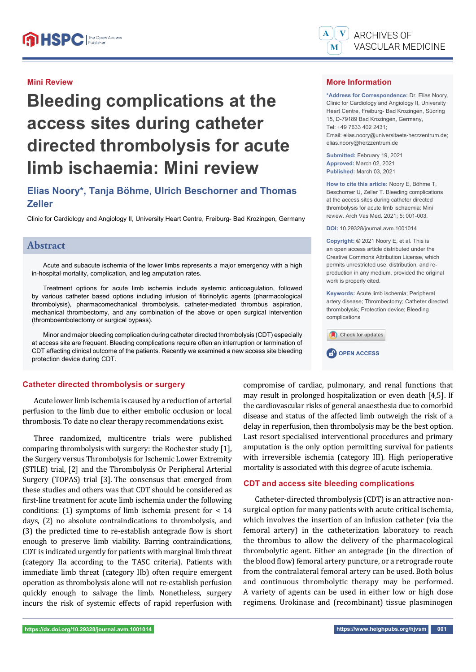#### **Mini Review**

# **Bleeding complications at the access sites during catheter directed thrombolysis for acute limb ischaemia: Mini review**

# **Elias Noory\*, Tanja Böhme, Ulrich Beschorner and Thomas Zeller**

Clinic for Cardiology and Angiology II, University Heart Centre, Freiburg- Bad Krozingen, Germany

# **Abstract**

Acute and subacute ischemia of the lower limbs represents a major emergency with a high in-hospital mortality, complication, and leg amputation rates.

Treatment options for acute limb ischemia include systemic anticoagulation, followed by various catheter based options including infusion of fibrinolytic agents (pharmacological thrombolysis), pharmacomechanical thrombolysis, catheter-mediated thrombus aspiration, mechanical thrombectomy, and any combination of the above or open surgical intervention (thromboembolectomy or surgical bypass).

Minor and major bleeding complication during catheter directed thrombolysis (CDT) especially at access site are frequent. Bleeding complications require often an interruption or termination of CDT affecting clinical outcome of the patients. Recently we examined a new access site bleeding protection device during CDT.

#### **Catheter directed thrombolysis or surgery**

Acute lower limb ischemia is caused by a reduction of arterial perfusion to the limb due to either embolic occlusion or local thrombosis. To date no clear therapy recommendations exist.

Three randomized, multicentre trials were published comparing thrombolysis with surgery: the Rochester study [1], the Surgery versus Thrombolysis for Ischemic Lower Extremity (STILE) trial, [2] and the Thrombolysis Or Peripheral Arterial Surgery (TOPAS) trial [3]. The consensus that emerged from these studies and others was that CDT should be considered as first-line treatment for acute limb ischemia under the following conditions: (1) symptoms of limb ischemia present for  $< 14$ days, (2) no absolute contraindications to thrombolysis, and (3) the predicted time to re-establish antegrade flow is short enough to preserve limb viability. Barring contraindications, CDT is indicated urgently for patients with marginal limb threat (category IIa according to the TASC criteria). Patients with immediate limb threat (category IIb) often require emergent operation as thrombolysis alone will not re-establish perfusion quickly enough to salvage the limb. Nonetheless, surgery incurs the risk of systemic effects of rapid reperfusion with

#### **More Information**

**\*Address for Correspondence:** Dr. Elias Noory, Clinic for Cardiology and Angiology II, University Heart Centre, Freiburg- Bad Krozingen, Südring 15, D-79189 Bad Krozingen, Germany, Tel: +49 7633 402 2431; Email: elias.noory@universitaets-herzzentrum.de; elias.noory@herzzentrum.de

**Submitted:** February 19, 2021 **Approved:** March 02, 2021 **Published:** March 03, 2021

**How to cite this article:** Noory E, Böhme T, Beschorner U, Zeller T. Bleeding complications at the access sites during catheter directed thrombolysis for acute limb ischaemia: Mini review. Arch Vas Med. 2021; 5: 001-003.

**DOI:** 10.29328/journal.avm.1001014

**Copyright: ©** 2021 Noory E, et al. This is an open access article distributed under the Creative Commons Attribution License, which permits unrestricted use, distribution, and reproduction in any medium, provided the original work is properly cited.

**Keywords:** Acute limb ischemia; Peripheral artery disease; Thrombectomy; Catheter directed thrombolysis; Protection device; Bleeding complications



compromise of cardiac, pulmonary, and renal functions that may result in prolonged hospitalization or even death [4,5]. If the cardiovascular risks of general anaesthesia due to comorbid disease and status of the affected limb outweigh the risk of a delay in reperfusion, then thrombolysis may be the best option. Last resort specialised interventional procedures and primary amputation is the only option permitting survival for patients with irreversible ischemia (category III). High perioperative mortality is associated with this degree of acute ischemia.

#### **CDT and access site bleeding complications**

Catheter-directed thrombolysis (CDT) is an attractive nonsurgical option for many patients with acute critical ischemia, which involves the insertion of an infusion catheter (via the femoral artery) in the catheterization laboratory to reach the thrombus to allow the delivery of the pharmacological thrombolytic agent. Either an antegrade (in the direction of the blood flow) femoral artery puncture, or a retrograde route from the contralateral femoral artery can be used. Both bolus and continuous thrombolytic therapy may be performed. A variety of agents can be used in either low or high dose regimens. Urokinase and (recombinant) tissue plasminogen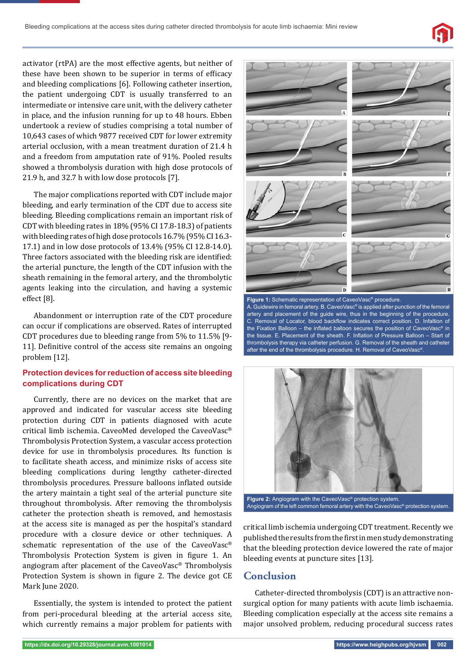

activator (rtPA) are the most effective agents, but neither of these have been shown to be superior in terms of efficacy and bleeding complications [6]. Following catheter insertion, the patient undergoing CDT is usually transferred to an intermediate or intensive care unit, with the delivery catheter in place, and the infusion running for up to 48 hours. Ebben undertook a review of studies comprising a total number of 10,643 cases of which 9877 received CDT for lower extremity arterial occlusion, with a mean treatment duration of 21.4 h and a freedom from amputation rate of 91%. Pooled results showed a thrombolysis duration with high dose protocols of 21.9 h, and 32.7 h with low dose protocols [7].

The major complications reported with CDT include major bleeding, and early termination of the CDT due to access site bleeding. Bleeding complications remain an important risk of CDT with bleeding rates in 18% (95% CI 17.8-18.3) of patients with bleeding rates of high dose protocols 16.7% (95% CI 16.3- 17.1) and in low dose protocols of 13.4% (95% CI 12.8-14.0). Three factors associated with the bleeding risk are identified: the arterial puncture, the length of the CDT infusion with the sheath remaining in the femoral artery, and the thrombolytic agents leaking into the circulation, and having a systemic effect [8].

Abandonment or interruption rate of the CDT procedure can occur if complications are observed. Rates of interrupted CDT procedures due to bleeding range from 5% to 11.5% [9- 11]. Definitive control of the access site remains an ongoing problem [12].

#### **Protection devices for reduction of access site bleeding complications during CDT**

Currently, there are no devices on the market that are approved and indicated for vascular access site bleeding protection during CDT in patients diagnosed with acute critical limb ischemia. CaveoMed developed the CaveoVasc® Thrombolysis Protection System, a vascular access protection device for use in thrombolysis procedures. Its function is to facilitate sheath access, and minimize risks of access site bleeding complications during lengthy catheter-directed thrombolysis procedures. Pressure balloons inflated outside the artery maintain a tight seal of the arterial puncture site throughout thrombolysis. After removing the thrombolysis catheter the protection sheath is removed, and hemostasis at the access site is managed as per the hospital's standard procedure with a closure device or other techniques. A schematic representation of the use of the CaveoVasc® Thrombolysis Protection System is given in figure 1. An angiogram after placement of the CaveoVasc® Thrombolysis Protection System is shown in figure 2. The device got CE Mark June 2020.

Essentially, the system is intended to protect the patient from peri-procedural bleeding at the arterial access site, which currently remains a major problem for patients with



**Figure 1:** Schematic representation of CaveoVasc® procedure. A. Guidewire in femoral artery. B. CaveoVasc® is applied after punction of the femoral artery and placement of the guide wire, thus in the beginning of the procedure. C. Removal of Locator, blood backflow indicates correct position. D. Infaltion of the Fixation Balloon – the inflated balloon secures the position of CaveoVasc<sup>®</sup> in the tissue. E. Placement of the sheath. F. Inflation of Pressure Balloon - Start of thrombolysis therapy via catheter perfusion. G. Removal of the sheath and catheter after the end of the thrombolysis procedure. H. Removal of CaveoVasc<sup>®</sup>



Angiogram of the left common femoral artery with the CaveoVasc® protection system.

critical limb ischemia undergoing CDT treatment. Recently we published the results from the first in men study demonstrating that the bleeding protection device lowered the rate of major bleeding events at puncture sites [13].

# **Conclusion**

Catheter-directed thrombolysis (CDT) is an attractive nonsurgical option for many patients with acute limb ischaemia. Bleeding complication especially at the access site remains a major unsolved problem, reducing procedural success rates